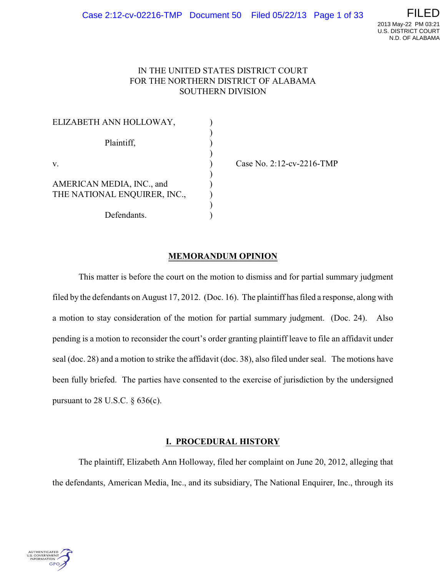

# IN THE UNITED STATES DISTRICT COURT FOR THE NORTHERN DISTRICT OF ALABAMA SOUTHERN DIVISION

| ELIZABETH ANN HOLLOWAY,      |  |
|------------------------------|--|
| Plaintiff,                   |  |
| V.                           |  |
| AMERICAN MEDIA, INC., and    |  |
| THE NATIONAL ENQUIRER, INC., |  |
| Defendants.                  |  |

Case No. 2:12-cv-2216-TMP

# **MEMORANDUM OPINION**

This matter is before the court on the motion to dismiss and for partial summary judgment filed by the defendants on August 17, 2012. (Doc. 16). The plaintiff has filed a response, along with a motion to stay consideration of the motion for partial summary judgment. (Doc. 24). Also pending is a motion to reconsider the court's order granting plaintiff leave to file an affidavit under seal (doc. 28) and a motion to strike the affidavit (doc. 38), also filed under seal. The motions have been fully briefed. The parties have consented to the exercise of jurisdiction by the undersigned pursuant to 28 U.S.C.  $\S$  636(c).

## **I. PROCEDURAL HISTORY**

The plaintiff, Elizabeth Ann Holloway, filed her complaint on June 20, 2012, alleging that the defendants, American Media, Inc., and its subsidiary, The National Enquirer, Inc., through its

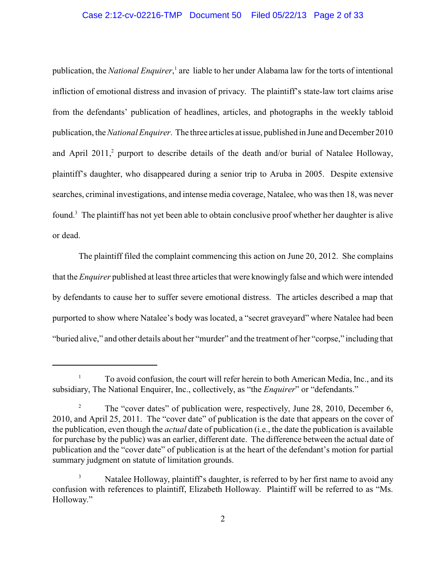# Case 2:12-cv-02216-TMP Document 50 Filed 05/22/13 Page 2 of 33

publication, the *National Enquirer*,<sup>1</sup> are liable to her under Alabama law for the torts of intentional infliction of emotional distress and invasion of privacy. The plaintiff's state-law tort claims arise from the defendants' publication of headlines, articles, and photographs in the weekly tabloid publication, the*National Enquirer*. The three articles at issue, published in June and December 2010 and April 2011,<sup>2</sup> purport to describe details of the death and/or burial of Natalee Holloway, plaintiff's daughter, who disappeared during a senior trip to Aruba in 2005. Despite extensive searches, criminal investigations, and intense media coverage, Natalee, who was then 18, was never found.<sup>3</sup> The plaintiff has not yet been able to obtain conclusive proof whether her daughter is alive or dead.

The plaintiff filed the complaint commencing this action on June 20, 2012. She complains that the *Enquirer* published at least three articles that were knowingly false and which were intended by defendants to cause her to suffer severe emotional distress. The articles described a map that purported to show where Natalee's body was located, a "secret graveyard" where Natalee had been "buried alive," and other details about her "murder" and the treatment of her "corpse," including that

 $\frac{1}{1}$  To avoid confusion, the court will refer herein to both American Media, Inc., and its subsidiary, The National Enquirer, Inc., collectively, as "the *Enquirer*" or "defendants."

<sup>&</sup>lt;sup>2</sup> The "cover dates" of publication were, respectively, June 28, 2010, December 6, 2010, and April 25, 2011. The "cover date" of publication is the date that appears on the cover of the publication, even though the *actual* date of publication (i.e., the date the publication is available for purchase by the public) was an earlier, different date. The difference between the actual date of publication and the "cover date" of publication is at the heart of the defendant's motion for partial summary judgment on statute of limitation grounds.

Natalee Holloway, plaintiff's daughter, is referred to by her first name to avoid any <sup>3</sup> confusion with references to plaintiff, Elizabeth Holloway. Plaintiff will be referred to as "Ms. Holloway."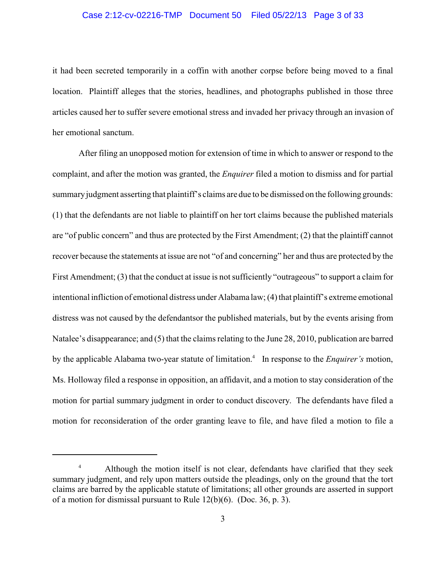## Case 2:12-cv-02216-TMP Document 50 Filed 05/22/13 Page 3 of 33

it had been secreted temporarily in a coffin with another corpse before being moved to a final location. Plaintiff alleges that the stories, headlines, and photographs published in those three articles caused her to suffer severe emotional stress and invaded her privacy through an invasion of her emotional sanctum.

After filing an unopposed motion for extension of time in which to answer or respond to the complaint, and after the motion was granted, the *Enquirer* filed a motion to dismiss and for partial summary judgment asserting that plaintiff's claims are due to be dismissed on the following grounds: (1) that the defendants are not liable to plaintiff on her tort claims because the published materials are "of public concern" and thus are protected by the First Amendment; (2) that the plaintiff cannot recover because the statements at issue are not "of and concerning" her and thus are protected by the First Amendment; (3) that the conduct at issue is not sufficiently "outrageous" to support a claim for intentional infliction of emotional distress under Alabama law; (4) that plaintiff's extreme emotional distress was not caused by the defendantsor the published materials, but by the events arising from Natalee's disappearance; and (5) that the claims relating to the June 28, 2010, publication are barred by the applicable Alabama two-year statute of limitation.<sup>4</sup> In response to the *Enquirer's* motion, Ms. Holloway filed a response in opposition, an affidavit, and a motion to stay consideration of the motion for partial summary judgment in order to conduct discovery. The defendants have filed a motion for reconsideration of the order granting leave to file, and have filed a motion to file a

<sup>&</sup>lt;sup>4</sup> Although the motion itself is not clear, defendants have clarified that they seek summary judgment, and rely upon matters outside the pleadings, only on the ground that the tort claims are barred by the applicable statute of limitations; all other grounds are asserted in support of a motion for dismissal pursuant to Rule 12(b)(6). (Doc. 36, p. 3).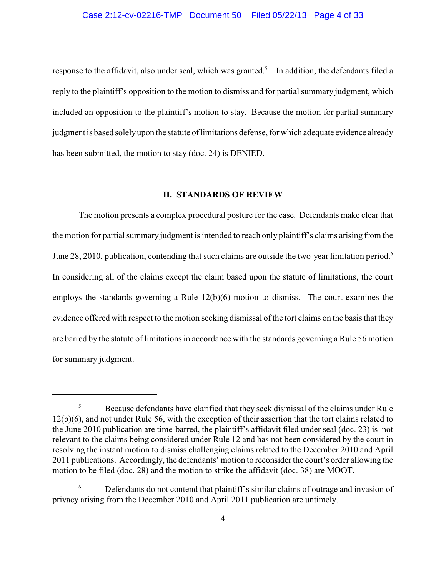# Case 2:12-cv-02216-TMP Document 50 Filed 05/22/13 Page 4 of 33

response to the affidavit, also under seal, which was granted.<sup>5</sup> In addition, the defendants filed a reply to the plaintiff's opposition to the motion to dismiss and for partial summary judgment, which included an opposition to the plaintiff's motion to stay. Because the motion for partial summary judgment is based solelyupon the statute of limitations defense, for which adequate evidence already has been submitted, the motion to stay (doc. 24) is DENIED.

#### **II. STANDARDS OF REVIEW**

The motion presents a complex procedural posture for the case. Defendants make clear that the motion for partial summary judgment is intended to reach only plaintiff's claims arising from the June 28, 2010, publication, contending that such claims are outside the two-year limitation period.<sup>6</sup> In considering all of the claims except the claim based upon the statute of limitations, the court employs the standards governing a Rule 12(b)(6) motion to dismiss. The court examines the evidence offered with respect to the motion seeking dismissal of the tort claims on the basis that they are barred by the statute of limitations in accordance with the standards governing a Rule 56 motion for summary judgment.

<sup>&</sup>lt;sup>5</sup> Because defendants have clarified that they seek dismissal of the claims under Rule 12(b)(6), and not under Rule 56, with the exception of their assertion that the tort claims related to the June 2010 publication are time-barred, the plaintiff's affidavit filed under seal (doc. 23) is not relevant to the claims being considered under Rule 12 and has not been considered by the court in resolving the instant motion to dismiss challenging claims related to the December 2010 and April 2011 publications. Accordingly, the defendants' motion to reconsider the court's order allowing the motion to be filed (doc. 28) and the motion to strike the affidavit (doc. 38) are MOOT.

Defendants do not contend that plaintiff's similar claims of outrage and invasion of privacy arising from the December 2010 and April 2011 publication are untimely.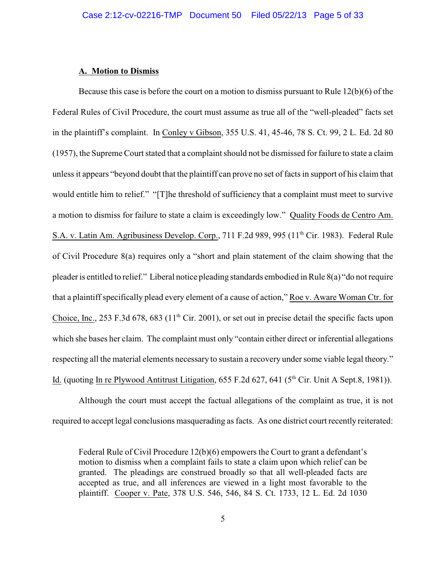#### **A. Motion to Dismiss**

Because this case is before the court on a motion to dismiss pursuant to Rule 12(b)(6) of the Federal Rules of Civil Procedure, the court must assume as true all of the "well-pleaded" facts set in the plaintiff's complaint. In Conley v Gibson, 355 U.S. 41, 45-46, 78 S. Ct. 99, 2 L. Ed. 2d 80 (1957), the Supreme Court stated that a complaint should not be dismissed for failure to state a claim unless it appears "beyond doubt that the plaintiff can prove no set of facts in support of his claim that would entitle him to relief." "[T]he threshold of sufficiency that a complaint must meet to survive a motion to dismiss for failure to state a claim is exceedingly low." Quality Foods de Centro Am. S.A. v. Latin Am. Agribusiness Develop. Corp., 711 F.2d 989, 995 (11<sup>th</sup> Cir. 1983). Federal Rule of Civil Procedure 8(a) requires only a "short and plain statement of the claim showing that the pleader is entitled to relief." Liberal notice pleading standards embodied in Rule 8(a) "do not require that a plaintiff specifically plead every element of a cause of action," Roe v. Aware Woman Ctr. for Choice, Inc., 253 F.3d 678, 683 ( $11<sup>th</sup>$  Cir. 2001), or set out in precise detail the specific facts upon which she bases her claim. The complaint must only "contain either direct or inferential allegations respecting all the material elements necessary to sustain a recovery under some viable legal theory." Id. (quoting In re Plywood Antitrust Litigation,  $655$  F.2d  $627$ ,  $641$  ( $5<sup>th</sup>$  Cir. Unit A Sept.8, 1981)).

Although the court must accept the factual allegations of the complaint as true, it is not required to accept legal conclusions masquerading as facts. As one district court recently reiterated:

Federal Rule of Civil Procedure 12(b)(6) empowers the Court to grant a defendant's motion to dismiss when a complaint fails to state a claim upon which relief can be granted. The pleadings are construed broadly so that all well-pleaded facts are accepted as true, and all inferences are viewed in a light most favorable to the plaintiff. Cooper v. Pate, 378 U.S. 546, 546, 84 S. Ct. 1733, 12 L. Ed. 2d 1030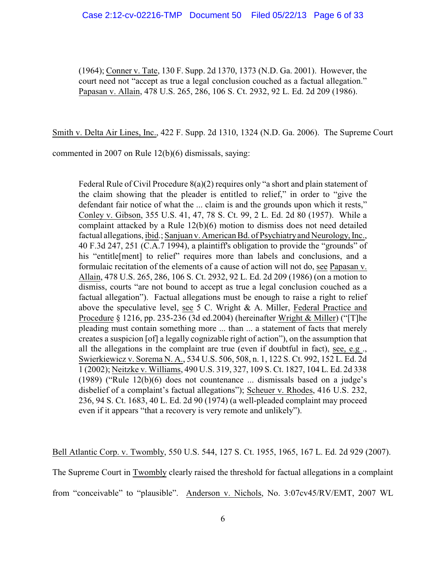(1964); Conner v. Tate, 130 F. Supp. 2d 1370, 1373 (N.D. Ga. 2001). However, the court need not "accept as true a legal conclusion couched as a factual allegation." Papasan v. Allain, 478 U.S. 265, 286, 106 S. Ct. 2932, 92 L. Ed. 2d 209 (1986).

Smith v. Delta Air Lines, Inc., 422 F. Supp. 2d 1310, 1324 (N.D. Ga. 2006). The Supreme Court

commented in 2007 on Rule 12(b)(6) dismissals, saying:

Federal Rule of Civil Procedure 8(a)(2) requires only "a short and plain statement of the claim showing that the pleader is entitled to relief," in order to "give the defendant fair notice of what the ... claim is and the grounds upon which it rests," Conley v. Gibson, 355 U.S. 41, 47, 78 S. Ct. 99, 2 L. Ed. 2d 80 (1957). While a complaint attacked by a Rule 12(b)(6) motion to dismiss does not need detailed factual allegations, ibid.; Sanjuan v. American Bd. of Psychiatryand Neurology, Inc., 40 F.3d 247, 251 (C.A.7 1994), a plaintiff's obligation to provide the "grounds" of his "entitle[ment] to relief" requires more than labels and conclusions, and a formulaic recitation of the elements of a cause of action will not do, see Papasan v. Allain, 478 U.S. 265, 286, 106 S. Ct. 2932, 92 L. Ed. 2d 209 (1986) (on a motion to dismiss, courts "are not bound to accept as true a legal conclusion couched as a factual allegation"). Factual allegations must be enough to raise a right to relief above the speculative level, see 5 C. Wright & A. Miller, Federal Practice and Procedure § 1216, pp. 235-236 (3d ed.2004) (hereinafter Wright & Miller) ("[T]he pleading must contain something more ... than ... a statement of facts that merely creates a suspicion [of] a legally cognizable right of action"), on the assumption that all the allegations in the complaint are true (even if doubtful in fact), see, e.g ., Swierkiewicz v. Sorema N. A., 534 U.S. 506, 508, n. 1, 122 S. Ct. 992, 152 L. Ed. 2d 1 (2002); Neitzke v. Williams, 490 U.S. 319, 327, 109 S. Ct. 1827, 104 L. Ed. 2d 338 (1989) ("Rule 12(b)(6) does not countenance ... dismissals based on a judge's disbelief of a complaint's factual allegations"); Scheuer v. Rhodes, 416 U.S. 232, 236, 94 S. Ct. 1683, 40 L. Ed. 2d 90 (1974) (a well-pleaded complaint may proceed even if it appears "that a recovery is very remote and unlikely").

Bell Atlantic Corp. v. Twombly, 550 U.S. 544, 127 S. Ct. 1955, 1965, 167 L. Ed. 2d 929 (2007).

The Supreme Court in Twombly clearly raised the threshold for factual allegations in a complaint

from "conceivable" to "plausible". Anderson v. Nichols, No. 3:07cv45/RV/EMT, 2007 WL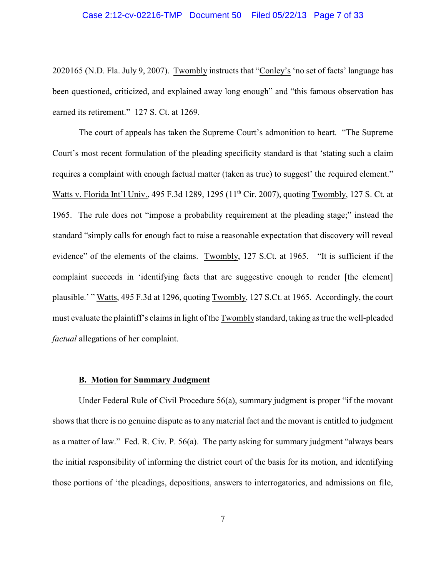#### Case 2:12-cv-02216-TMP Document 50 Filed 05/22/13 Page 7 of 33

2020165 (N.D. Fla. July 9, 2007). Twombly instructs that "Conley's 'no set of facts' language has been questioned, criticized, and explained away long enough" and "this famous observation has earned its retirement." 127 S. Ct. at 1269.

The court of appeals has taken the Supreme Court's admonition to heart. "The Supreme Court's most recent formulation of the pleading specificity standard is that 'stating such a claim requires a complaint with enough factual matter (taken as true) to suggest' the required element." Watts v. Florida Int'l Univ., 495 F.3d 1289, 1295 (11<sup>th</sup> Cir. 2007), quoting Twombly, 127 S. Ct. at 1965. The rule does not "impose a probability requirement at the pleading stage;" instead the standard "simply calls for enough fact to raise a reasonable expectation that discovery will reveal evidence" of the elements of the claims. Twombly, 127 S.Ct. at 1965. "It is sufficient if the complaint succeeds in 'identifying facts that are suggestive enough to render [the element] plausible.' " Watts, 495 F.3d at 1296, quoting Twombly, 127 S.Ct. at 1965. Accordingly, the court must evaluate the plaintiff's claims in light of the Twombly standard, taking as true the well-pleaded *factual* allegations of her complaint.

## **B. Motion for Summary Judgment**

Under Federal Rule of Civil Procedure 56(a), summary judgment is proper "if the movant shows that there is no genuine dispute as to any material fact and the movant is entitled to judgment as a matter of law." Fed. R. Civ. P. 56(a). The party asking for summary judgment "always bears the initial responsibility of informing the district court of the basis for its motion, and identifying those portions of 'the pleadings, depositions, answers to interrogatories, and admissions on file,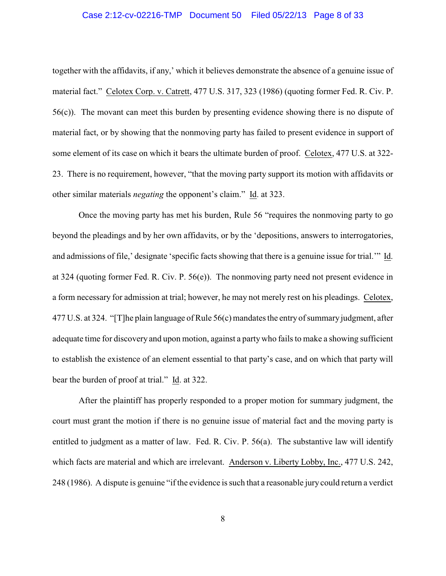# Case 2:12-cv-02216-TMP Document 50 Filed 05/22/13 Page 8 of 33

together with the affidavits, if any,' which it believes demonstrate the absence of a genuine issue of material fact." Celotex Corp. v. Catrett, 477 U.S. 317, 323 (1986) (quoting former Fed. R. Civ. P. 56(c)). The movant can meet this burden by presenting evidence showing there is no dispute of material fact, or by showing that the nonmoving party has failed to present evidence in support of some element of its case on which it bears the ultimate burden of proof. Celotex, 477 U.S. at 322- 23. There is no requirement, however, "that the moving party support its motion with affidavits or other similar materials *negating* the opponent's claim." Id. at 323.

Once the moving party has met his burden, Rule 56 "requires the nonmoving party to go beyond the pleadings and by her own affidavits, or by the 'depositions, answers to interrogatories, and admissions of file,' designate 'specific facts showing that there is a genuine issue for trial.'" Id. at 324 (quoting former Fed. R. Civ. P. 56(e)). The nonmoving party need not present evidence in a form necessary for admission at trial; however, he may not merely rest on his pleadings. Celotex, 477 U.S. at 324. "[T]he plain language of Rule 56(c)mandates the entry of summary judgment, after adequate time for discovery and upon motion, against a party who fails to make a showing sufficient to establish the existence of an element essential to that party's case, and on which that party will bear the burden of proof at trial." Id. at 322.

After the plaintiff has properly responded to a proper motion for summary judgment, the court must grant the motion if there is no genuine issue of material fact and the moving party is entitled to judgment as a matter of law. Fed. R. Civ. P. 56(a). The substantive law will identify which facts are material and which are irrelevant. Anderson v. Liberty Lobby, Inc., 477 U.S. 242, 248 (1986). A dispute is genuine "if the evidence is such that a reasonable jury could return a verdict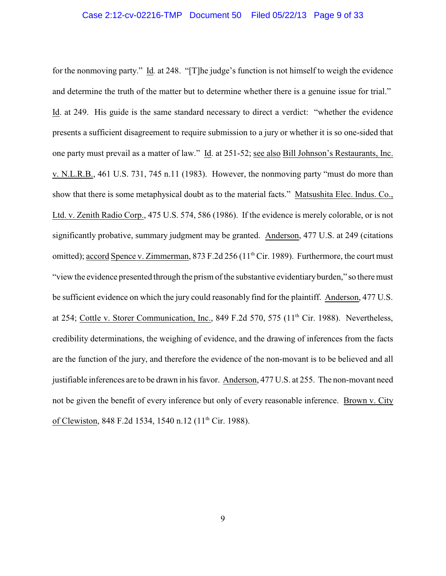for the nonmoving party." Id*.* at 248. "[T]he judge's function is not himself to weigh the evidence and determine the truth of the matter but to determine whether there is a genuine issue for trial." Id. at 249. His guide is the same standard necessary to direct a verdict: "whether the evidence presents a sufficient disagreement to require submission to a jury or whether it is so one-sided that one party must prevail as a matter of law." Id. at 251-52; see also Bill Johnson's Restaurants, Inc. v. N.L.R.B., 461 U.S. 731, 745 n.11 (1983). However, the nonmoving party "must do more than show that there is some metaphysical doubt as to the material facts." Matsushita Elec. Indus. Co., Ltd. v. Zenith Radio Corp., 475 U.S. 574, 586 (1986). If the evidence is merely colorable, or is not significantly probative, summary judgment may be granted. Anderson, 477 U.S. at 249 (citations omitted); accord Spence v. Zimmerman,  $873$  F.2d  $256$  ( $11<sup>th</sup>$  Cir. 1989). Furthermore, the court must "view the evidence presented through the prism of the substantive evidentiaryburden," so theremust be sufficient evidence on which the jury could reasonably find for the plaintiff. Anderson, 477 U.S. at 254; Cottle v. Storer Communication, Inc., 849 F.2d 570, 575 ( $11<sup>th</sup>$  Cir. 1988). Nevertheless, credibility determinations, the weighing of evidence, and the drawing of inferences from the facts are the function of the jury, and therefore the evidence of the non-movant is to be believed and all justifiable inferences are to be drawn in his favor. Anderson, 477 U.S. at 255. The non-movant need not be given the benefit of every inference but only of every reasonable inference. Brown v. City of Clewiston, 848 F.2d 1534, 1540 n.12 (11<sup>th</sup> Cir. 1988).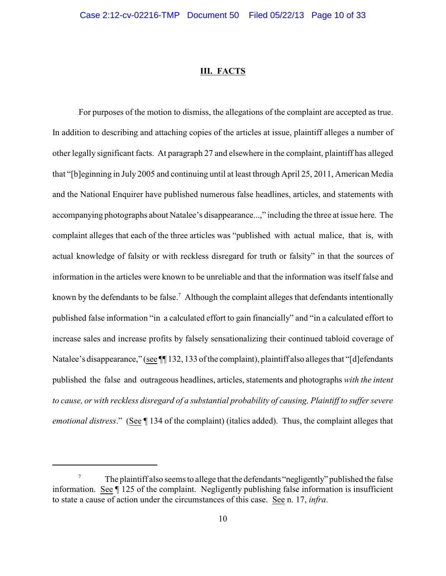#### **III. FACTS**

For purposes of the motion to dismiss, the allegations of the complaint are accepted as true. In addition to describing and attaching copies of the articles at issue, plaintiff alleges a number of other legally significant facts. At paragraph 27 and elsewhere in the complaint, plaintiff has alleged that "[b]eginning in July 2005 and continuing until at least through April 25, 2011, American Media and the National Enquirer have published numerous false headlines, articles, and statements with accompanying photographs about Natalee's disappearance...," including the three at issue here. The complaint alleges that each of the three articles was "published with actual malice, that is, with actual knowledge of falsity or with reckless disregard for truth or falsity" in that the sources of information in the articles were known to be unreliable and that the information was itself false and known by the defendants to be false.<sup>7</sup> Although the complaint alleges that defendants intentionally published false information "in a calculated effort to gain financially" and "in a calculated effort to increase sales and increase profits by falsely sensationalizing their continued tabloid coverage of Natalee's disappearance," (see  $\P$ [132, 133 of the complaint), plaintiff also alleges that "[d]efendants published the false and outrageous headlines, articles, statements and photographs *with the intent to cause, or with reckless disregard of a substantial probability of causing, Plaintiff to suffer severe emotional distress*." (See ¶ 134 of the complaint) (italics added). Thus, the complaint alleges that

The plaintiff also seems to allege that the defendants "negligently" published the false <sup>7</sup> information. See ¶ 125 of the complaint. Negligently publishing false information is insufficient to state a cause of action under the circumstances of this case. See n. 17, *infra*.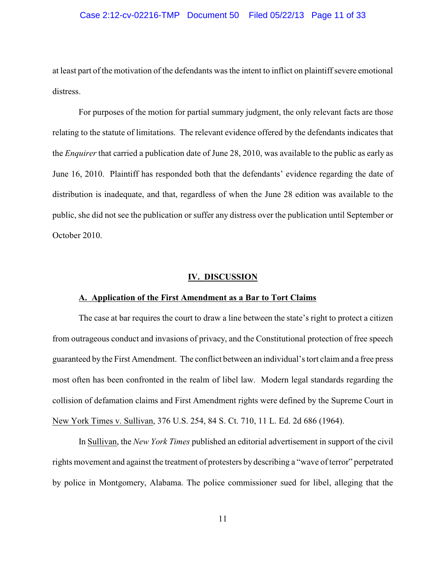#### Case 2:12-cv-02216-TMP Document 50 Filed 05/22/13 Page 11 of 33

at least part of the motivation of the defendants was the intent to inflict on plaintiff severe emotional distress.

For purposes of the motion for partial summary judgment, the only relevant facts are those relating to the statute of limitations. The relevant evidence offered by the defendants indicates that the *Enquirer* that carried a publication date of June 28, 2010, was available to the public as early as June 16, 2010. Plaintiff has responded both that the defendants' evidence regarding the date of distribution is inadequate, and that, regardless of when the June 28 edition was available to the public, she did not see the publication or suffer any distress over the publication until September or October 2010.

#### **IV. DISCUSSION**

#### **A. Application of the First Amendment as a Bar to Tort Claims**

The case at bar requires the court to draw a line between the state's right to protect a citizen from outrageous conduct and invasions of privacy, and the Constitutional protection of free speech guaranteed by the First Amendment. The conflict between an individual's tort claim and a free press most often has been confronted in the realm of libel law. Modern legal standards regarding the collision of defamation claims and First Amendment rights were defined by the Supreme Court in New York Times v. Sullivan, 376 U.S. 254, 84 S. Ct. 710, 11 L. Ed. 2d 686 (1964).

In Sullivan, the *New York Times* published an editorial advertisement in support of the civil rights movement and against the treatment of protesters by describing a "wave of terror" perpetrated by police in Montgomery, Alabama. The police commissioner sued for libel, alleging that the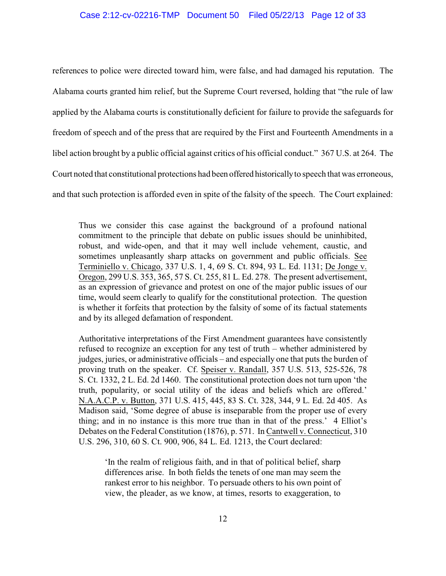references to police were directed toward him, were false, and had damaged his reputation. The Alabama courts granted him relief, but the Supreme Court reversed, holding that "the rule of law applied by the Alabama courts is constitutionally deficient for failure to provide the safeguards for freedom of speech and of the press that are required by the First and Fourteenth Amendments in a libel action brought by a public official against critics of his official conduct." 367 U.S. at 264. The Court noted that constitutional protections had been offered historicallyto speech that was erroneous, and that such protection is afforded even in spite of the falsity of the speech. The Court explained:

Thus we consider this case against the background of a profound national commitment to the principle that debate on public issues should be uninhibited, robust, and wide-open, and that it may well include vehement, caustic, and sometimes unpleasantly sharp attacks on government and public officials. See Terminiello v. Chicago, 337 U.S. 1, 4, 69 S. Ct. 894, 93 L. Ed. 1131; De Jonge v. Oregon, 299 U.S. 353, 365, 57 S. Ct. 255, 81 L. Ed. 278. The present advertisement, as an expression of grievance and protest on one of the major public issues of our time, would seem clearly to qualify for the constitutional protection. The question is whether it forfeits that protection by the falsity of some of its factual statements and by its alleged defamation of respondent.

Authoritative interpretations of the First Amendment guarantees have consistently refused to recognize an exception for any test of truth – whether administered by judges, juries, or administrative officials – and especially one that puts the burden of proving truth on the speaker. Cf. Speiser v. Randall, 357 U.S. 513, 525-526, 78 S. Ct. 1332, 2 L. Ed. 2d 1460. The constitutional protection does not turn upon 'the truth, popularity, or social utility of the ideas and beliefs which are offered.' N.A.A.C.P. v. Button, 371 U.S. 415, 445, 83 S. Ct. 328, 344, 9 L. Ed. 2d 405. As Madison said, 'Some degree of abuse is inseparable from the proper use of every thing; and in no instance is this more true than in that of the press.' 4 Elliot's Debates on the Federal Constitution (1876), p. 571. In Cantwell v. Connecticut, 310 U.S. 296, 310, 60 S. Ct. 900, 906, 84 L. Ed. 1213, the Court declared:

'In the realm of religious faith, and in that of political belief, sharp differences arise. In both fields the tenets of one man may seem the rankest error to his neighbor. To persuade others to his own point of view, the pleader, as we know, at times, resorts to exaggeration, to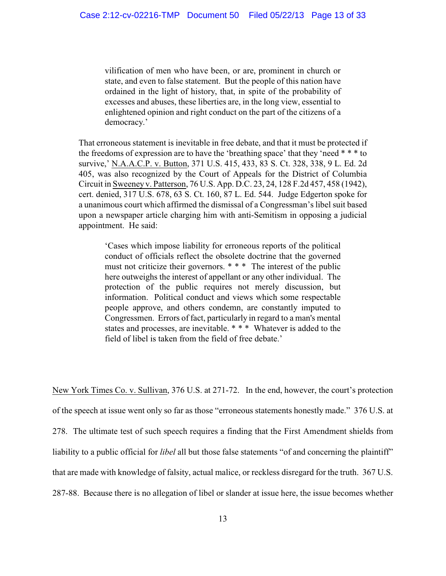vilification of men who have been, or are, prominent in church or state, and even to false statement. But the people of this nation have ordained in the light of history, that, in spite of the probability of excesses and abuses, these liberties are, in the long view, essential to enlightened opinion and right conduct on the part of the citizens of a democracy.'

That erroneous statement is inevitable in free debate, and that it must be protected if the freedoms of expression are to have the 'breathing space' that they 'need \* \* \* to survive,' N.A.A.C.P. v. Button, 371 U.S. 415, 433, 83 S. Ct. 328, 338, 9 L. Ed. 2d 405, was also recognized by the Court of Appeals for the District of Columbia Circuit in Sweeney v. Patterson, 76 U.S. App. D.C. 23, 24, 128 F.2d 457, 458 (1942), cert. denied, 317 U.S. 678, 63 S. Ct. 160, 87 L. Ed. 544. Judge Edgerton spoke for a unanimous court which affirmed the dismissal of a Congressman's libel suit based upon a newspaper article charging him with anti-Semitism in opposing a judicial appointment. He said:

'Cases which impose liability for erroneous reports of the political conduct of officials reflect the obsolete doctrine that the governed must not criticize their governors. \* \* \* The interest of the public here outweighs the interest of appellant or any other individual. The protection of the public requires not merely discussion, but information. Political conduct and views which some respectable people approve, and others condemn, are constantly imputed to Congressmen. Errors of fact, particularly in regard to a man's mental states and processes, are inevitable. \* \* \* Whatever is added to the field of libel is taken from the field of free debate.'

New York Times Co. v. Sullivan, 376 U.S. at 271-72. In the end, however, the court's protection of the speech at issue went only so far as those "erroneous statements honestly made." 376 U.S. at 278. The ultimate test of such speech requires a finding that the First Amendment shields from liability to a public official for *libel* all but those false statements "of and concerning the plaintiff" that are made with knowledge of falsity, actual malice, or reckless disregard for the truth. 367 U.S. 287-88. Because there is no allegation of libel or slander at issue here, the issue becomes whether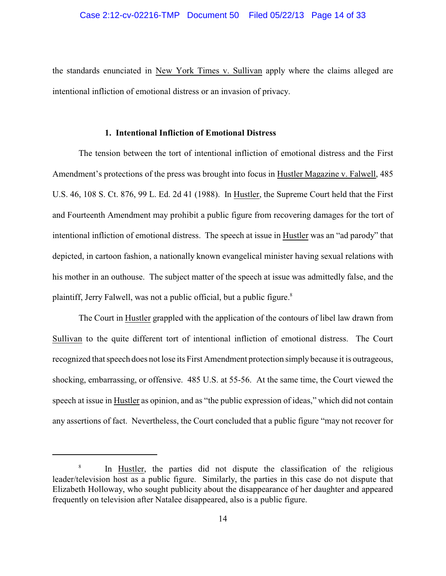the standards enunciated in New York Times v. Sullivan apply where the claims alleged are intentional infliction of emotional distress or an invasion of privacy.

## **1. Intentional Infliction of Emotional Distress**

The tension between the tort of intentional infliction of emotional distress and the First Amendment's protections of the press was brought into focus in Hustler Magazine v. Falwell, 485 U.S. 46, 108 S. Ct. 876, 99 L. Ed. 2d 41 (1988). In Hustler, the Supreme Court held that the First and Fourteenth Amendment may prohibit a public figure from recovering damages for the tort of intentional infliction of emotional distress. The speech at issue in Hustler was an "ad parody" that depicted, in cartoon fashion, a nationally known evangelical minister having sexual relations with his mother in an outhouse. The subject matter of the speech at issue was admittedly false, and the plaintiff, Jerry Falwell, was not a public official, but a public figure.<sup>8</sup>

The Court in Hustler grappled with the application of the contours of libel law drawn from Sullivan to the quite different tort of intentional infliction of emotional distress. The Court recognized that speech does not lose its First Amendment protection simply because it is outrageous, shocking, embarrassing, or offensive. 485 U.S. at 55-56. At the same time, the Court viewed the speech at issue in Hustler as opinion, and as "the public expression of ideas," which did not contain any assertions of fact. Nevertheless, the Court concluded that a public figure "may not recover for

<sup>&</sup>lt;sup>8</sup> In Hustler, the parties did not dispute the classification of the religious leader/television host as a public figure. Similarly, the parties in this case do not dispute that Elizabeth Holloway, who sought publicity about the disappearance of her daughter and appeared frequently on television after Natalee disappeared, also is a public figure.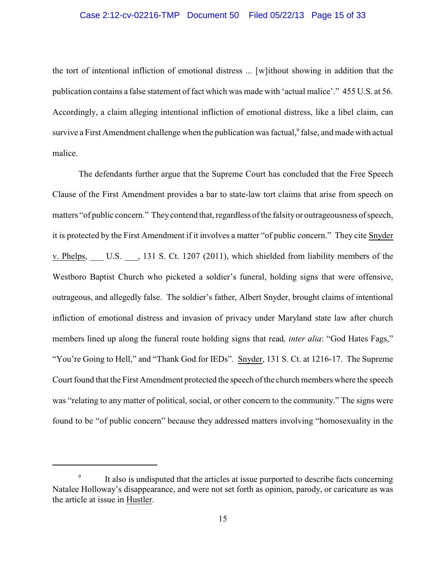## Case 2:12-cv-02216-TMP Document 50 Filed 05/22/13 Page 15 of 33

the tort of intentional infliction of emotional distress ... [w]ithout showing in addition that the publication contains a false statement of fact which was made with 'actual malice'." 455 U.S. at 56. Accordingly, a claim alleging intentional infliction of emotional distress, like a libel claim, can survive a First Amendment challenge when the publication was factual, $^9$  false, and made with actual malice.

The defendants further argue that the Supreme Court has concluded that the Free Speech Clause of the First Amendment provides a bar to state-law tort claims that arise from speech on matters "of public concern." Theycontend that, regardless of the falsityor outrageousness of speech, it is protected by the First Amendment if it involves a matter "of public concern." They cite Snyder v. Phelps, U.S. , 131 S. Ct. 1207 (2011), which shielded from liability members of the Westboro Baptist Church who picketed a soldier's funeral, holding signs that were offensive, outrageous, and allegedly false. The soldier's father, Albert Snyder, brought claims of intentional infliction of emotional distress and invasion of privacy under Maryland state law after church members lined up along the funeral route holding signs that read*, inter alia*: "God Hates Fags," "You're Going to Hell," and "Thank God for IEDs". Snyder, 131 S. Ct. at 1216-17. The Supreme Court found that the First Amendment protected the speech of the church members where the speech was "relating to any matter of political, social, or other concern to the community." The signs were found to be "of public concern" because they addressed matters involving "homosexuality in the

It also is undisputed that the articles at issue purported to describe facts concerning Natalee Holloway's disappearance, and were not set forth as opinion, parody, or caricature as was the article at issue in Hustler.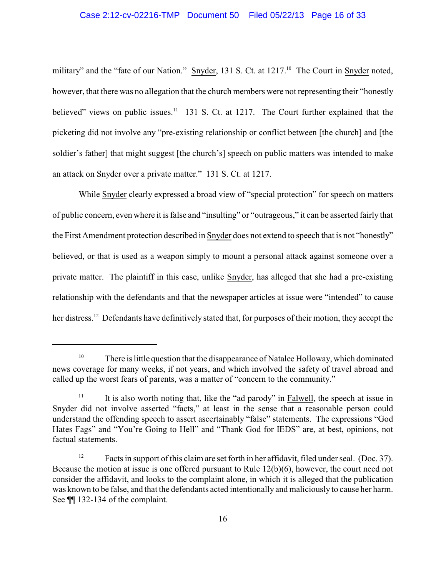### Case 2:12-cv-02216-TMP Document 50 Filed 05/22/13 Page 16 of 33

military" and the "fate of our Nation." Snyder, 131 S. Ct. at 1217.<sup>10</sup> The Court in Snyder noted, however, that there was no allegation that the church members were not representing their "honestly believed" views on public issues. $11$  131 S. Ct. at 1217. The Court further explained that the picketing did not involve any "pre-existing relationship or conflict between [the church] and [the soldier's father] that might suggest [the church's] speech on public matters was intended to make an attack on Snyder over a private matter." 131 S. Ct. at 1217.

While Snyder clearly expressed a broad view of "special protection" for speech on matters of public concern, even where it is false and "insulting" or "outrageous," it can be asserted fairly that the First Amendment protection described in Snyder does not extend to speech that is not "honestly" believed, or that is used as a weapon simply to mount a personal attack against someone over a private matter. The plaintiff in this case, unlike Snyder, has alleged that she had a pre-existing relationship with the defendants and that the newspaper articles at issue were "intended" to cause her distress.<sup>12</sup> Defendants have definitively stated that, for purposes of their motion, they accept the

 $10$  There is little question that the disappearance of Natalee Holloway, which dominated news coverage for many weeks, if not years, and which involved the safety of travel abroad and called up the worst fears of parents, was a matter of "concern to the community."

 $\frac{11}{11}$  It is also worth noting that, like the "ad parody" in Falwell, the speech at issue in Snyder did not involve asserted "facts," at least in the sense that a reasonable person could understand the offending speech to assert ascertainably "false" statements. The expressions "God Hates Fags" and "You're Going to Hell" and "Thank God for IEDS" are, at best, opinions, not factual statements.

Facts in support of this claim are set forth in her affidavit, filed under seal. (Doc. 37). Because the motion at issue is one offered pursuant to Rule 12(b)(6), however, the court need not consider the affidavit, and looks to the complaint alone, in which it is alleged that the publication was known to be false, and that the defendants acted intentionally and maliciously to cause her harm. See ¶¶ 132-134 of the complaint.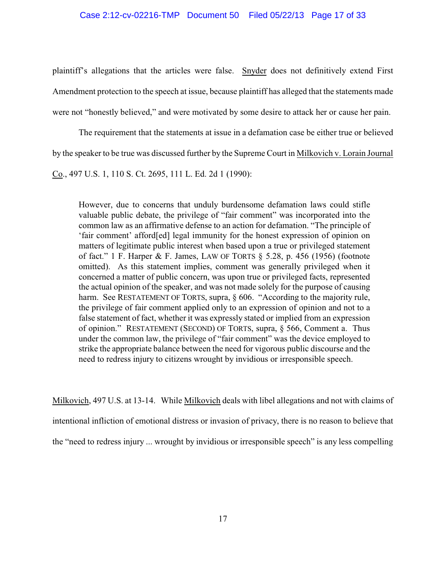plaintiff's allegations that the articles were false. Snyder does not definitively extend First Amendment protection to the speech at issue, because plaintiff has alleged that the statements made were not "honestly believed," and were motivated by some desire to attack her or cause her pain.

The requirement that the statements at issue in a defamation case be either true or believed by the speaker to be true was discussed further by the Supreme Court in Milkovich v. Lorain Journal

Co., 497 U.S. 1, 110 S. Ct. 2695, 111 L. Ed. 2d 1 (1990):

However, due to concerns that unduly burdensome defamation laws could stifle valuable public debate, the privilege of "fair comment" was incorporated into the common law as an affirmative defense to an action for defamation. "The principle of 'fair comment' afford[ed] legal immunity for the honest expression of opinion on matters of legitimate public interest when based upon a true or privileged statement of fact." 1 F. Harper & F. James, LAW OF TORTS  $\S$  5.28, p. 456 (1956) (footnote omitted). As this statement implies, comment was generally privileged when it concerned a matter of public concern, was upon true or privileged facts, represented the actual opinion of the speaker, and was not made solely for the purpose of causing harm. See RESTATEMENT OF TORTS, supra, § 606. "According to the majority rule, the privilege of fair comment applied only to an expression of opinion and not to a false statement of fact, whether it was expressly stated or implied from an expression of opinion." RESTATEMENT (SECOND) OF TORTS, supra, § 566, Comment a. Thus under the common law, the privilege of "fair comment" was the device employed to strike the appropriate balance between the need for vigorous public discourse and the need to redress injury to citizens wrought by invidious or irresponsible speech.

Milkovich, 497 U.S. at 13-14. While Milkovich deals with libel allegations and not with claims of intentional infliction of emotional distress or invasion of privacy, there is no reason to believe that the "need to redress injury ... wrought by invidious or irresponsible speech" is any less compelling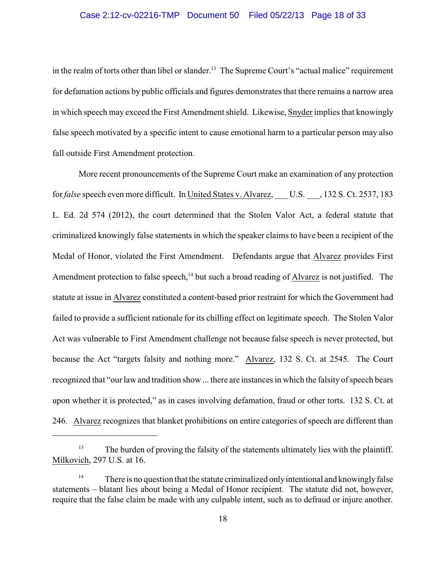in the realm of torts other than libel or slander.<sup>13</sup> The Supreme Court's "actual malice" requirement for defamation actions by public officials and figures demonstrates that there remains a narrow area in which speech may exceed the First Amendment shield. Likewise, Snyder implies that knowingly false speech motivated by a specific intent to cause emotional harm to a particular person may also fall outside First Amendment protection.

More recent pronouncements of the Supreme Court make an examination of any protection for *false* speech even more difficult. In United States v. Alvarez, \_\_\_ U.S. \_\_\_, 132 S. Ct. 2537, 183 L. Ed. 2d 574 (2012), the court determined that the Stolen Valor Act, a federal statute that criminalized knowingly false statements in which the speaker claims to have been a recipient of the Medal of Honor, violated the First Amendment. Defendants argue that Alvarez provides First Amendment protection to false speech,  $h^4$  but such a broad reading of Alvarez is not justified. The statute at issue in Alvarez constituted a content-based prior restraint for which the Government had failed to provide a sufficient rationale for its chilling effect on legitimate speech. The Stolen Valor Act was vulnerable to First Amendment challenge not because false speech is never protected, but because the Act "targets falsity and nothing more." Alvarez, 132 S. Ct. at 2545. The Court recognized that "our law and tradition show ... there are instances in which the falsity of speech bears upon whether it is protected," as in cases involving defamation, fraud or other torts. 132 S. Ct. at 246. Alvarez recognizes that blanket prohibitions on entire categories of speech are different than

 $13$  The burden of proving the falsity of the statements ultimately lies with the plaintiff. Milkovich, 297 U.S. at 16.

 $14$  There is no question that the statute criminalized only intentional and knowingly false statements – blatant lies about being a Medal of Honor recipient. The statute did not, however, require that the false claim be made with any culpable intent, such as to defraud or injure another.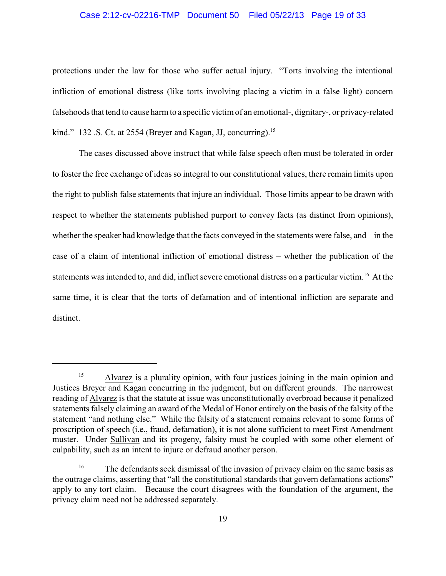# Case 2:12-cv-02216-TMP Document 50 Filed 05/22/13 Page 19 of 33

protections under the law for those who suffer actual injury. "Torts involving the intentional infliction of emotional distress (like torts involving placing a victim in a false light) concern falsehoods that tend to cause harm to a specific victim of an emotional-, dignitary-, or privacy-related kind." 132 .S. Ct. at 2554 (Brever and Kagan, JJ, concurring).<sup>15</sup>

The cases discussed above instruct that while false speech often must be tolerated in order to foster the free exchange of ideas so integral to our constitutional values, there remain limits upon the right to publish false statements that injure an individual. Those limits appear to be drawn with respect to whether the statements published purport to convey facts (as distinct from opinions), whether the speaker had knowledge that the facts conveyed in the statements were false, and – in the case of a claim of intentional infliction of emotional distress – whether the publication of the statements was intended to, and did, inflict severe emotional distress on a particular victim.<sup>16</sup> At the same time, it is clear that the torts of defamation and of intentional infliction are separate and distinct.

<sup>&</sup>lt;sup>15</sup> Alvarez is a plurality opinion, with four justices joining in the main opinion and Justices Breyer and Kagan concurring in the judgment, but on different grounds. The narrowest reading of Alvarez is that the statute at issue was unconstitutionally overbroad because it penalized statements falsely claiming an award of the Medal of Honor entirely on the basis of the falsity of the statement "and nothing else." While the falsity of a statement remains relevant to some forms of proscription of speech (i.e., fraud, defamation), it is not alone sufficient to meet First Amendment muster. Under Sullivan and its progeny, falsity must be coupled with some other element of culpability, such as an intent to injure or defraud another person.

 $16$  The defendants seek dismissal of the invasion of privacy claim on the same basis as the outrage claims, asserting that "all the constitutional standards that govern defamations actions" apply to any tort claim. Because the court disagrees with the foundation of the argument, the privacy claim need not be addressed separately.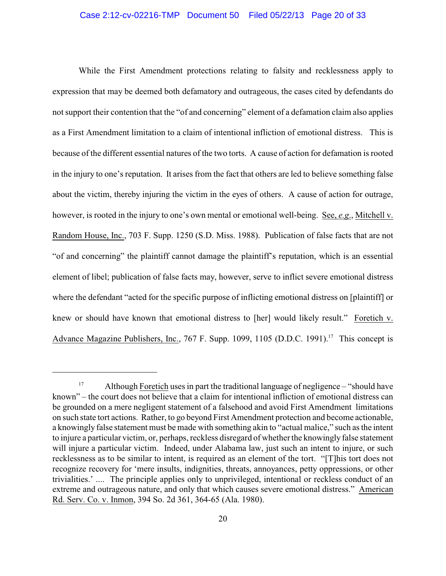While the First Amendment protections relating to falsity and recklessness apply to expression that may be deemed both defamatory and outrageous, the cases cited by defendants do not support their contention that the "of and concerning" element of a defamation claim also applies as a First Amendment limitation to a claim of intentional infliction of emotional distress. This is because of the different essential natures of the two torts. A cause of action for defamation is rooted in the injury to one's reputation. It arises from the fact that others are led to believe something false about the victim, thereby injuring the victim in the eyes of others. A cause of action for outrage, however, is rooted in the injury to one's own mental or emotional well-being. See, *e.g*., Mitchell v. Random House, Inc., 703 F. Supp. 1250 (S.D. Miss. 1988). Publication of false facts that are not "of and concerning" the plaintiff cannot damage the plaintiff's reputation, which is an essential element of libel; publication of false facts may, however, serve to inflict severe emotional distress where the defendant "acted for the specific purpose of inflicting emotional distress on [plaintiff] or knew or should have known that emotional distress to [her] would likely result." Foretich v. Advance Magazine Publishers, Inc., 767 F. Supp. 1099, 1105 (D.D.C. 1991).<sup>17</sup> This concept is

 $17$  Although Foretich uses in part the traditional language of negligence – "should have known" – the court does not believe that a claim for intentional infliction of emotional distress can be grounded on a mere negligent statement of a falsehood and avoid First Amendment limitations on such state tort actions. Rather, to go beyond First Amendment protection and become actionable, a knowingly false statement must be made with something akin to "actual malice," such as the intent to injure a particular victim, or, perhaps, reckless disregard of whether the knowingly false statement will injure a particular victim. Indeed, under Alabama law, just such an intent to injure, or such recklessness as to be similar to intent, is required as an element of the tort. "[T]his tort does not recognize recovery for 'mere insults, indignities, threats, annoyances, petty oppressions, or other trivialities.' .... The principle applies only to unprivileged, intentional or reckless conduct of an extreme and outrageous nature, and only that which causes severe emotional distress." American Rd. Serv. Co. v. Inmon, 394 So. 2d 361, 364-65 (Ala. 1980).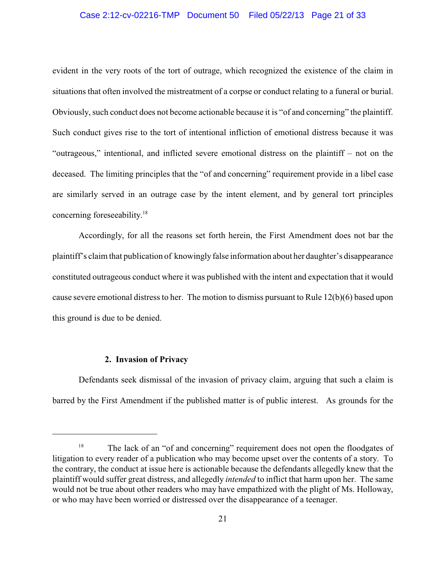## Case 2:12-cv-02216-TMP Document 50 Filed 05/22/13 Page 21 of 33

evident in the very roots of the tort of outrage, which recognized the existence of the claim in situations that often involved the mistreatment of a corpse or conduct relating to a funeral or burial. Obviously, such conduct does not become actionable because it is "of and concerning" the plaintiff. Such conduct gives rise to the tort of intentional infliction of emotional distress because it was "outrageous," intentional, and inflicted severe emotional distress on the plaintiff – not on the deceased. The limiting principles that the "of and concerning" requirement provide in a libel case are similarly served in an outrage case by the intent element, and by general tort principles concerning foreseeability.<sup>18</sup>

Accordingly, for all the reasons set forth herein, the First Amendment does not bar the plaintiff's claim that publication of knowinglyfalse information about her daughter's disappearance constituted outrageous conduct where it was published with the intent and expectation that it would cause severe emotional distress to her. The motion to dismiss pursuant to Rule 12(b)(6) based upon this ground is due to be denied.

### **2. Invasion of Privacy**

Defendants seek dismissal of the invasion of privacy claim, arguing that such a claim is barred by the First Amendment if the published matter is of public interest. As grounds for the

<sup>&</sup>lt;sup>18</sup> The lack of an "of and concerning" requirement does not open the floodgates of litigation to every reader of a publication who may become upset over the contents of a story. To the contrary, the conduct at issue here is actionable because the defendants allegedly knew that the plaintiff would suffer great distress, and allegedly *intended* to inflict that harm upon her. The same would not be true about other readers who may have empathized with the plight of Ms. Holloway, or who may have been worried or distressed over the disappearance of a teenager.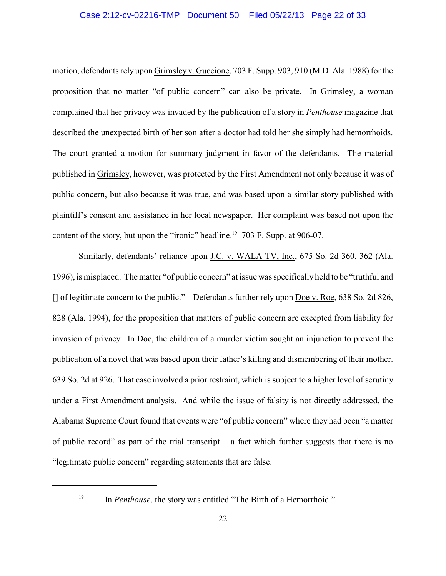## Case 2:12-cv-02216-TMP Document 50 Filed 05/22/13 Page 22 of 33

motion, defendants rely upon Grimsley v. Guccione, 703 F. Supp. 903, 910 (M.D. Ala. 1988) for the proposition that no matter "of public concern" can also be private. In Grimsley, a woman complained that her privacy was invaded by the publication of a story in *Penthouse* magazine that described the unexpected birth of her son after a doctor had told her she simply had hemorrhoids. The court granted a motion for summary judgment in favor of the defendants. The material published in Grimsley, however, was protected by the First Amendment not only because it was of public concern, but also because it was true, and was based upon a similar story published with plaintiff's consent and assistance in her local newspaper. Her complaint was based not upon the content of the story, but upon the "ironic" headline.<sup>19</sup> 703 F. Supp. at 906-07.

Similarly, defendants' reliance upon J.C. v. WALA-TV, Inc., 675 So. 2d 360, 362 (Ala. 1996), is misplaced. The matter "of public concern" at issue was specifically held to be "truthful and [] of legitimate concern to the public." Defendants further rely upon Doe v. Roe, 638 So. 2d 826, 828 (Ala. 1994), for the proposition that matters of public concern are excepted from liability for invasion of privacy. In Doe, the children of a murder victim sought an injunction to prevent the publication of a novel that was based upon their father's killing and dismembering of their mother. 639 So. 2d at 926. That case involved a prior restraint, which is subject to a higher level of scrutiny under a First Amendment analysis. And while the issue of falsity is not directly addressed, the Alabama Supreme Court found that events were "of public concern" where they had been "a matter of public record" as part of the trial transcript – a fact which further suggests that there is no "legitimate public concern" regarding statements that are false.

<sup>&</sup>lt;sup>19</sup> In *Penthouse*, the story was entitled "The Birth of a Hemorrhoid."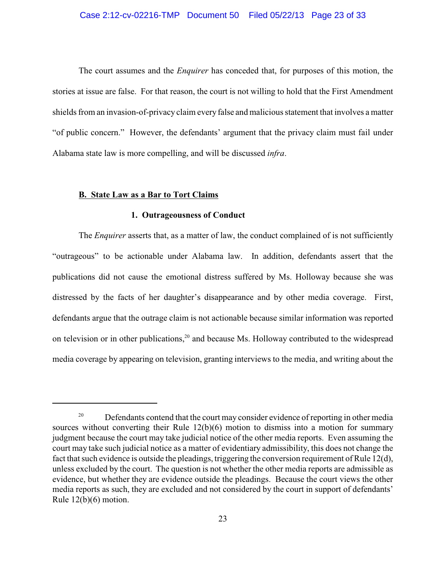#### Case 2:12-cv-02216-TMP Document 50 Filed 05/22/13 Page 23 of 33

The court assumes and the *Enquirer* has conceded that, for purposes of this motion, the stories at issue are false. For that reason, the court is not willing to hold that the First Amendment shields from an invasion-of-privacy claim every false and malicious statement that involves a matter "of public concern." However, the defendants' argument that the privacy claim must fail under Alabama state law is more compelling, and will be discussed *infra*.

#### **B. State Law as a Bar to Tort Claims**

### **1. Outrageousness of Conduct**

The *Enquirer* asserts that, as a matter of law, the conduct complained of is not sufficiently "outrageous" to be actionable under Alabama law. In addition, defendants assert that the publications did not cause the emotional distress suffered by Ms. Holloway because she was distressed by the facts of her daughter's disappearance and by other media coverage. First, defendants argue that the outrage claim is not actionable because similar information was reported on television or in other publications,  $2^0$  and because Ms. Holloway contributed to the widespread media coverage by appearing on television, granting interviews to the media, and writing about the

<sup>&</sup>lt;sup>20</sup> Defendants contend that the court may consider evidence of reporting in other media sources without converting their Rule 12(b)(6) motion to dismiss into a motion for summary judgment because the court may take judicial notice of the other media reports. Even assuming the court may take such judicial notice as a matter of evidentiary admissibility, this does not change the fact that such evidence is outside the pleadings, triggering the conversion requirement of Rule 12(d), unless excluded by the court. The question is not whether the other media reports are admissible as evidence, but whether they are evidence outside the pleadings. Because the court views the other media reports as such, they are excluded and not considered by the court in support of defendants' Rule 12(b)(6) motion.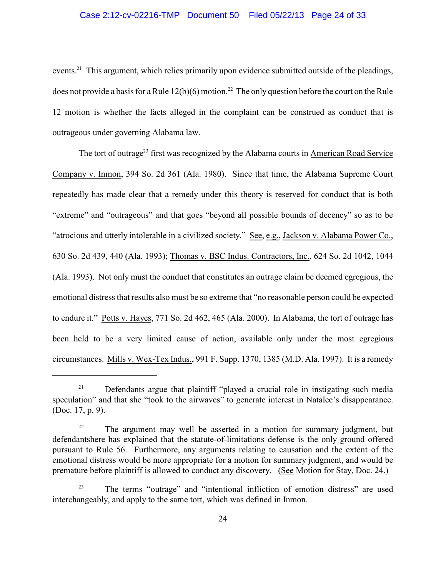## Case 2:12-cv-02216-TMP Document 50 Filed 05/22/13 Page 24 of 33

events.<sup>21</sup> This argument, which relies primarily upon evidence submitted outside of the pleadings, does not provide a basis for a Rule  $12(b)(6)$  motion.<sup>22</sup> The only question before the court on the Rule 12 motion is whether the facts alleged in the complaint can be construed as conduct that is outrageous under governing Alabama law.

The tort of outrage<sup>23</sup> first was recognized by the Alabama courts in American Road Service Company v. Inmon, 394 So. 2d 361 (Ala. 1980). Since that time, the Alabama Supreme Court repeatedly has made clear that a remedy under this theory is reserved for conduct that is both "extreme" and "outrageous" and that goes "beyond all possible bounds of decency" so as to be "atrocious and utterly intolerable in a civilized society." See, e.g., Jackson v. Alabama Power Co., 630 So. 2d 439, 440 (Ala. 1993); Thomas v. BSC Indus. Contractors, Inc., 624 So. 2d 1042, 1044 (Ala. 1993). Not only must the conduct that constitutes an outrage claim be deemed egregious, the emotional distress that results also must be so extreme that "no reasonable person could be expected to endure it." Potts v. Hayes, 771 So. 2d 462, 465 (Ala. 2000). In Alabama, the tort of outrage has been held to be a very limited cause of action, available only under the most egregious circumstances. Mills v. Wex-Tex Indus., 991 F. Supp. 1370, 1385 (M.D. Ala. 1997). It is a remedy

 $21$  Defendants argue that plaintiff "played a crucial role in instigating such media speculation" and that she "took to the airwaves" to generate interest in Natalee's disappearance. (Doc. 17, p. 9).

 $22$  The argument may well be asserted in a motion for summary judgment, but defendantshere has explained that the statute-of-limitations defense is the only ground offered pursuant to Rule 56. Furthermore, any arguments relating to causation and the extent of the emotional distress would be more appropriate for a motion for summary judgment, and would be premature before plaintiff is allowed to conduct any discovery. (See Motion for Stay, Doc. 24.)

<sup>&</sup>lt;sup>23</sup> The terms "outrage" and "intentional infliction of emotion distress" are used interchangeably, and apply to the same tort, which was defined in Inmon.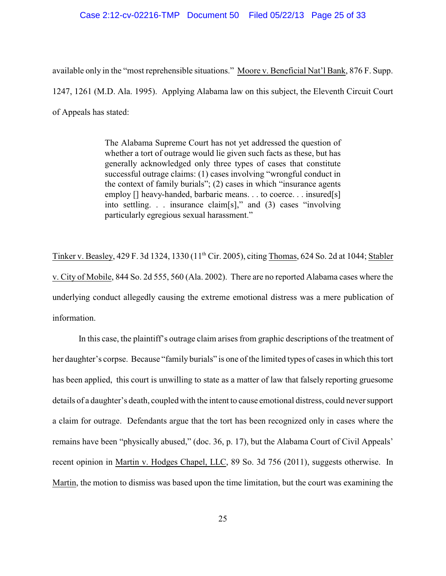#### Case 2:12-cv-02216-TMP Document 50 Filed 05/22/13 Page 25 of 33

available only in the "most reprehensible situations." Moore v. Beneficial Nat'l Bank, 876 F. Supp. 1247, 1261 (M.D. Ala. 1995). Applying Alabama law on this subject, the Eleventh Circuit Court of Appeals has stated:

> The Alabama Supreme Court has not yet addressed the question of whether a tort of outrage would lie given such facts as these, but has generally acknowledged only three types of cases that constitute successful outrage claims: (1) cases involving "wrongful conduct in the context of family burials"; (2) cases in which "insurance agents employ [] heavy-handed, barbaric means. . . to coerce. . . insured[s] into settling. . . insurance claim[s]," and (3) cases "involving particularly egregious sexual harassment."

Tinker v. Beasley, 429 F. 3d 1324, 1330 (11<sup>th</sup> Cir. 2005), citing Thomas, 624 So. 2d at 1044; Stabler v. City of Mobile, 844 So. 2d 555, 560 (Ala. 2002). There are no reported Alabama cases where the underlying conduct allegedly causing the extreme emotional distress was a mere publication of information.

In this case, the plaintiff's outrage claim arises from graphic descriptions of the treatment of her daughter's corpse. Because "family burials" is one of the limited types of cases in which this tort has been applied, this court is unwilling to state as a matter of law that falsely reporting gruesome details of a daughter's death, coupled with the intent to cause emotional distress, could neversupport a claim for outrage. Defendants argue that the tort has been recognized only in cases where the remains have been "physically abused," (doc. 36, p. 17), but the Alabama Court of Civil Appeals' recent opinion in Martin v. Hodges Chapel, LLC, 89 So. 3d 756 (2011), suggests otherwise. In Martin, the motion to dismiss was based upon the time limitation, but the court was examining the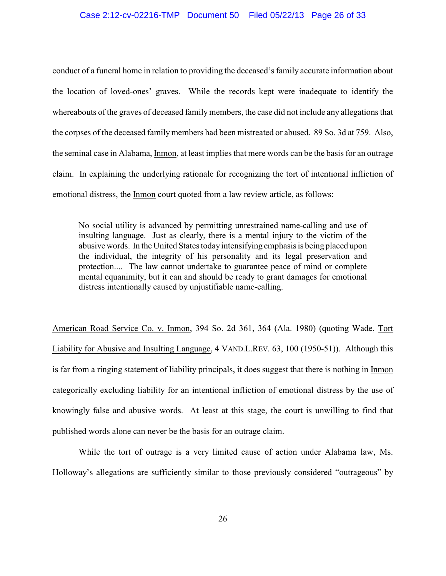# Case 2:12-cv-02216-TMP Document 50 Filed 05/22/13 Page 26 of 33

conduct of a funeral home in relation to providing the deceased's family accurate information about the location of loved-ones' graves. While the records kept were inadequate to identify the whereabouts of the graves of deceased family members, the case did not include any allegations that the corpses of the deceased family members had been mistreated or abused. 89 So. 3d at 759. Also, the seminal case in Alabama, Inmon, at least implies that mere words can be the basis for an outrage claim. In explaining the underlying rationale for recognizing the tort of intentional infliction of emotional distress, the Inmon court quoted from a law review article, as follows:

No social utility is advanced by permitting unrestrained name-calling and use of insulting language. Just as clearly, there is a mental injury to the victim of the abusive words. In the United States todayintensifying emphasis is being placed upon the individual, the integrity of his personality and its legal preservation and protection.... The law cannot undertake to guarantee peace of mind or complete mental equanimity, but it can and should be ready to grant damages for emotional distress intentionally caused by unjustifiable name-calling.

American Road Service Co. v. Inmon, 394 So. 2d 361, 364 (Ala. 1980) (quoting Wade, Tort Liability for Abusive and Insulting Language, 4 VAND.L.REV. 63, 100 (1950-51)). Although this is far from a ringing statement of liability principals, it does suggest that there is nothing in Inmon categorically excluding liability for an intentional infliction of emotional distress by the use of knowingly false and abusive words. At least at this stage, the court is unwilling to find that published words alone can never be the basis for an outrage claim.

While the tort of outrage is a very limited cause of action under Alabama law, Ms. Holloway's allegations are sufficiently similar to those previously considered "outrageous" by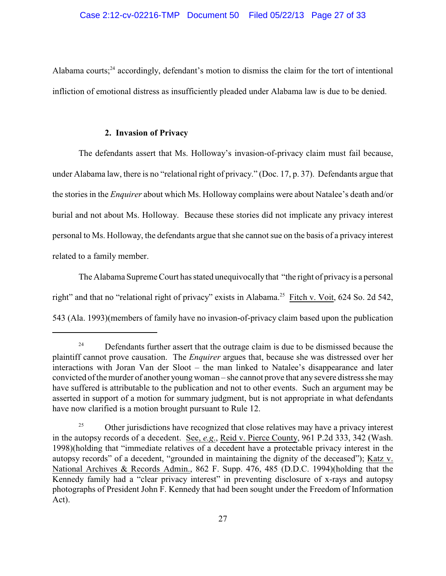Alabama courts; $^{24}$  accordingly, defendant's motion to dismiss the claim for the tort of intentional infliction of emotional distress as insufficiently pleaded under Alabama law is due to be denied.

# **2. Invasion of Privacy**

The defendants assert that Ms. Holloway's invasion-of-privacy claim must fail because, under Alabama law, there is no "relational right of privacy." (Doc. 17, p. 37). Defendants argue that the stories in the *Enquirer* about which Ms. Holloway complains were about Natalee's death and/or burial and not about Ms. Holloway. Because these stories did not implicate any privacy interest personal to Ms. Holloway, the defendants argue that she cannot sue on the basis of a privacy interest related to a family member.

The Alabama Supreme Court has stated unequivocally that "the right of privacy is a personal right" and that no "relational right of privacy" exists in Alabama.<sup>25</sup> Fitch v. Voit, 624 So. 2d 542, 543 (Ala. 1993)(members of family have no invasion-of-privacy claim based upon the publication

 $24$  Defendants further assert that the outrage claim is due to be dismissed because the plaintiff cannot prove causation. The *Enquirer* argues that, because she was distressed over her interactions with Joran Van der Sloot – the man linked to Natalee's disappearance and later convicted of the murder of another young woman – she cannot prove that any severe distress she may have suffered is attributable to the publication and not to other events. Such an argument may be asserted in support of a motion for summary judgment, but is not appropriate in what defendants have now clarified is a motion brought pursuant to Rule 12.

 $^{25}$  Other jurisdictions have recognized that close relatives may have a privacy interest in the autopsy records of a decedent. See, *e.g*., Reid v. Pierce County, 961 P.2d 333, 342 (Wash. 1998)(holding that "immediate relatives of a decedent have a protectable privacy interest in the autopsy records" of a decedent, "grounded in maintaining the dignity of the deceased"); Katz v. National Archives & Records Admin., 862 F. Supp. 476, 485 (D.D.C. 1994)(holding that the Kennedy family had a "clear privacy interest" in preventing disclosure of x-rays and autopsy photographs of President John F. Kennedy that had been sought under the Freedom of Information Act).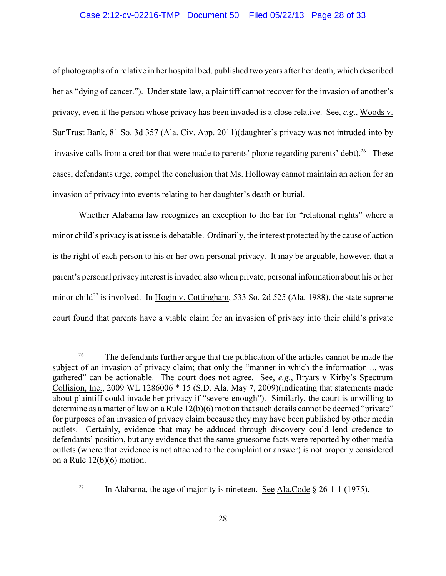#### Case 2:12-cv-02216-TMP Document 50 Filed 05/22/13 Page 28 of 33

of photographs of a relative in her hospital bed, published two years after her death, which described her as "dying of cancer."). Under state law, a plaintiff cannot recover for the invasion of another's privacy, even if the person whose privacy has been invaded is a close relative. See, *e.g*., Woods v. SunTrust Bank, 81 So. 3d 357 (Ala. Civ. App. 2011)(daughter's privacy was not intruded into by invasive calls from a creditor that were made to parents' phone regarding parents' debt).<sup>26</sup> These cases, defendants urge, compel the conclusion that Ms. Holloway cannot maintain an action for an invasion of privacy into events relating to her daughter's death or burial.

Whether Alabama law recognizes an exception to the bar for "relational rights" where a minor child's privacy is at issue is debatable. Ordinarily, the interest protected by the cause of action is the right of each person to his or her own personal privacy. It may be arguable, however, that a parent's personal privacyinterest is invaded also when private, personal information about his or her minor child<sup>27</sup> is involved. In Hogin v. Cottingham, 533 So. 2d 525 (Ala. 1988), the state supreme court found that parents have a viable claim for an invasion of privacy into their child's private

 $26$  The defendants further argue that the publication of the articles cannot be made the subject of an invasion of privacy claim; that only the "manner in which the information ... was gathered" can be actionable. The court does not agree. See, *e.g*., Bryars v Kirby's Spectrum Collision, Inc., 2009 WL 1286006 \* 15 (S.D. Ala. May 7, 2009)(indicating that statements made about plaintiff could invade her privacy if "severe enough"). Similarly, the court is unwilling to determine as a matter of law on a Rule 12(b)(6) motion that such details cannot be deemed "private" for purposes of an invasion of privacy claim because they may have been published by other media outlets. Certainly, evidence that may be adduced through discovery could lend credence to defendants' position, but any evidence that the same gruesome facts were reported by other media outlets (where that evidence is not attached to the complaint or answer) is not properly considered on a Rule 12(b)(6) motion.

<sup>&</sup>lt;sup>27</sup> In Alabama, the age of majority is nineteen. See Ala.Code  $\delta$  26-1-1 (1975).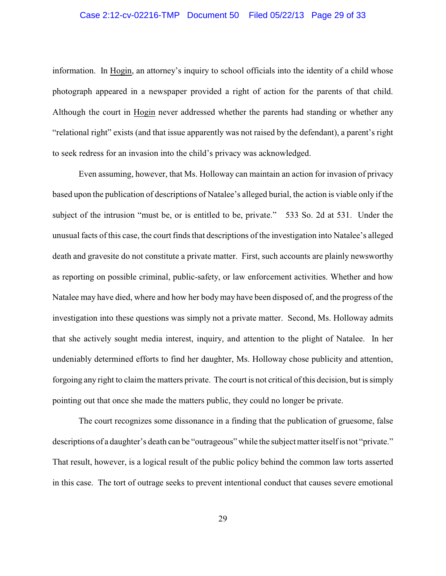#### Case 2:12-cv-02216-TMP Document 50 Filed 05/22/13 Page 29 of 33

information. In Hogin, an attorney's inquiry to school officials into the identity of a child whose photograph appeared in a newspaper provided a right of action for the parents of that child. Although the court in Hogin never addressed whether the parents had standing or whether any "relational right" exists (and that issue apparently was not raised by the defendant), a parent's right to seek redress for an invasion into the child's privacy was acknowledged.

Even assuming, however, that Ms. Holloway can maintain an action for invasion of privacy based upon the publication of descriptions of Natalee's alleged burial, the action is viable only if the subject of the intrusion "must be, or is entitled to be, private." 533 So. 2d at 531. Under the unusual facts of this case, the court finds that descriptions of the investigation into Natalee's alleged death and gravesite do not constitute a private matter. First, such accounts are plainly newsworthy as reporting on possible criminal, public-safety, or law enforcement activities. Whether and how Natalee may have died, where and how her body may have been disposed of, and the progress of the investigation into these questions was simply not a private matter. Second, Ms. Holloway admits that she actively sought media interest, inquiry, and attention to the plight of Natalee. In her undeniably determined efforts to find her daughter, Ms. Holloway chose publicity and attention, forgoing any right to claim the matters private. The court is not critical of this decision, but is simply pointing out that once she made the matters public, they could no longer be private.

The court recognizes some dissonance in a finding that the publication of gruesome, false descriptions of a daughter's death can be "outrageous" while the subject matter itself is not "private." That result, however, is a logical result of the public policy behind the common law torts asserted in this case. The tort of outrage seeks to prevent intentional conduct that causes severe emotional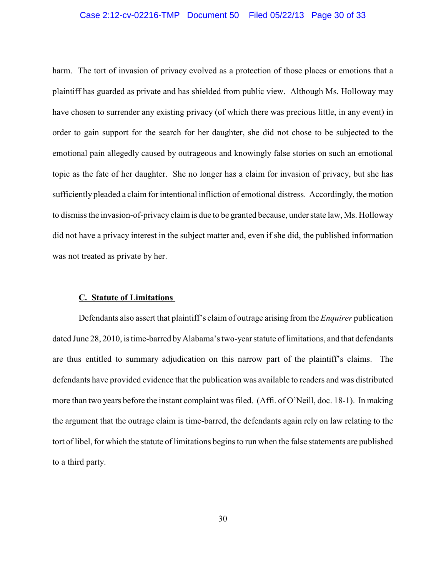#### Case 2:12-cv-02216-TMP Document 50 Filed 05/22/13 Page 30 of 33

harm. The tort of invasion of privacy evolved as a protection of those places or emotions that a plaintiff has guarded as private and has shielded from public view. Although Ms. Holloway may have chosen to surrender any existing privacy (of which there was precious little, in any event) in order to gain support for the search for her daughter, she did not chose to be subjected to the emotional pain allegedly caused by outrageous and knowingly false stories on such an emotional topic as the fate of her daughter. She no longer has a claim for invasion of privacy, but she has sufficiently pleaded a claim for intentional infliction of emotional distress. Accordingly, the motion to dismissthe invasion-of-privacy claim is due to be granted because, under state law, Ms. Holloway did not have a privacy interest in the subject matter and, even if she did, the published information was not treated as private by her.

## **C. Statute of Limitations**

Defendants also assert that plaintiff's claim of outrage arising from the *Enquirer* publication dated June 28, 2010, is time-barred by Alabama's two-year statute of limitations, and that defendants are thus entitled to summary adjudication on this narrow part of the plaintiff's claims. The defendants have provided evidence that the publication was available to readers and was distributed more than two years before the instant complaint was filed. (Affi. of O'Neill, doc. 18-1). In making the argument that the outrage claim is time-barred, the defendants again rely on law relating to the tort of libel, for which the statute of limitations begins to run when the false statements are published to a third party.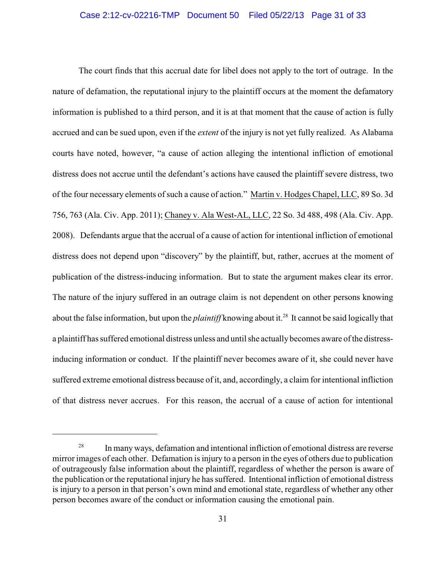The court finds that this accrual date for libel does not apply to the tort of outrage. In the nature of defamation, the reputational injury to the plaintiff occurs at the moment the defamatory information is published to a third person, and it is at that moment that the cause of action is fully accrued and can be sued upon, even if the *extent* of the injury is not yet fully realized. As Alabama courts have noted, however, "a cause of action alleging the intentional infliction of emotional distress does not accrue until the defendant's actions have caused the plaintiff severe distress, two of the four necessary elements of such a cause of action." Martin v. Hodges Chapel, LLC, 89 So. 3d 756, 763 (Ala. Civ. App. 2011); Chaney v. Ala West-AL, LLC, 22 So. 3d 488, 498 (Ala. Civ. App. 2008). Defendants argue that the accrual of a cause of action for intentional infliction of emotional distress does not depend upon "discovery" by the plaintiff, but, rather, accrues at the moment of publication of the distress-inducing information. But to state the argument makes clear its error. The nature of the injury suffered in an outrage claim is not dependent on other persons knowing about the false information, but upon the *plaintiff* knowing about it.<sup>28</sup> It cannot be said logically that a plaintiff has suffered emotional distress unless and until she actually becomes aware of the distressinducing information or conduct. If the plaintiff never becomes aware of it, she could never have suffered extreme emotional distress because of it, and, accordingly, a claim for intentional infliction of that distress never accrues. For this reason, the accrual of a cause of action for intentional

 $28$  In many ways, defamation and intentional infliction of emotional distress are reverse mirror images of each other. Defamation is injury to a person in the eyes of others due to publication of outrageously false information about the plaintiff, regardless of whether the person is aware of the publication or the reputational injury he has suffered. Intentional infliction of emotional distress is injury to a person in that person's own mind and emotional state, regardless of whether any other person becomes aware of the conduct or information causing the emotional pain.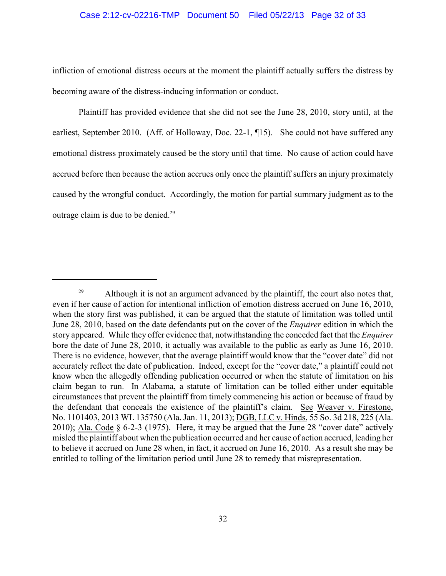#### Case 2:12-cv-02216-TMP Document 50 Filed 05/22/13 Page 32 of 33

infliction of emotional distress occurs at the moment the plaintiff actually suffers the distress by becoming aware of the distress-inducing information or conduct.

Plaintiff has provided evidence that she did not see the June 28, 2010, story until, at the earliest, September 2010. (Aff. of Holloway, Doc. 22-1, ¶15). She could not have suffered any emotional distress proximately caused be the story until that time. No cause of action could have accrued before then because the action accrues only once the plaintiff suffers an injury proximately caused by the wrongful conduct. Accordingly, the motion for partial summary judgment as to the outrage claim is due to be denied.<sup>29</sup>

<sup>&</sup>lt;sup>29</sup> Although it is not an argument advanced by the plaintiff, the court also notes that, even if her cause of action for intentional infliction of emotion distress accrued on June 16, 2010, when the story first was published, it can be argued that the statute of limitation was tolled until June 28, 2010, based on the date defendants put on the cover of the *Enquirer* edition in which the story appeared. While they offer evidence that, notwithstanding the conceded fact that the *Enquirer* bore the date of June 28, 2010, it actually was available to the public as early as June 16, 2010. There is no evidence, however, that the average plaintiff would know that the "cover date" did not accurately reflect the date of publication. Indeed, except for the "cover date," a plaintiff could not know when the allegedly offending publication occurred or when the statute of limitation on his claim began to run. In Alabama, a statute of limitation can be tolled either under equitable circumstances that prevent the plaintiff from timely commencing his action or because of fraud by the defendant that conceals the existence of the plaintiff's claim. See Weaver v. Firestone, No. 1101403, 2013 WL 135750 (Ala. Jan. 11, 2013); DGB, LLC v. Hinds, 55 So. 3d 218, 225 (Ala. 2010); Ala. Code § 6-2-3 (1975). Here, it may be argued that the June 28 "cover date" actively misled the plaintiff about when the publication occurred and her cause of action accrued, leading her to believe it accrued on June 28 when, in fact, it accrued on June 16, 2010. As a result she may be entitled to tolling of the limitation period until June 28 to remedy that misrepresentation.